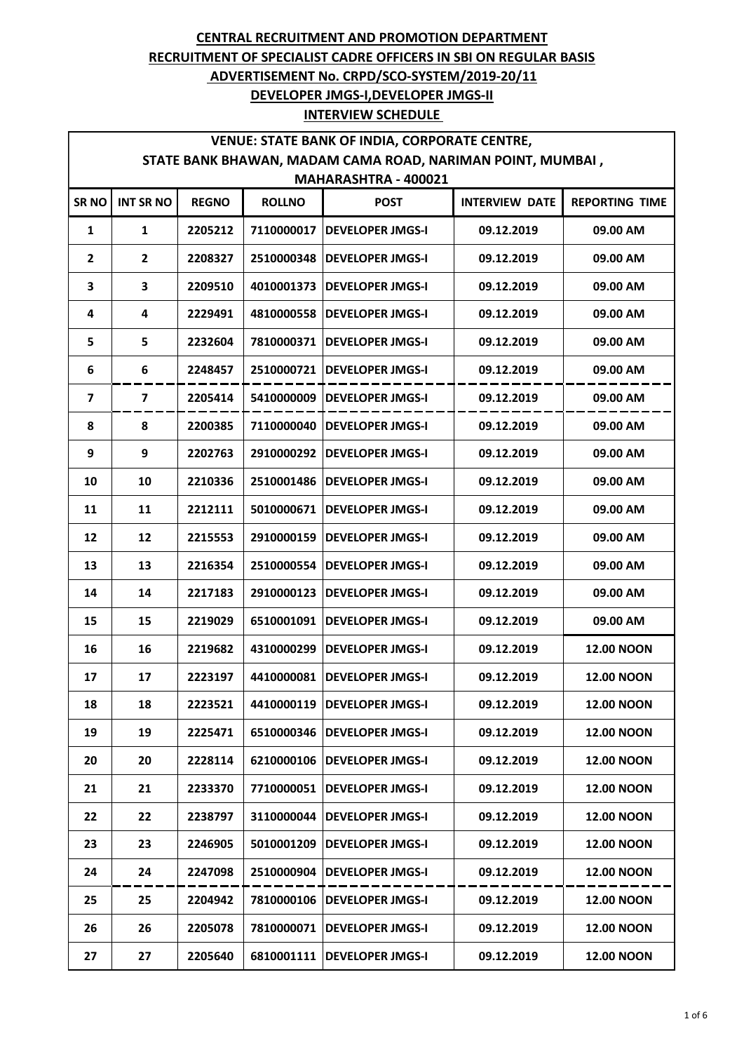| <b>VENUE: STATE BANK OF INDIA, CORPORATE CENTRE,</b>                               |                  |              |               |                         |                       |                       |  |  |
|------------------------------------------------------------------------------------|------------------|--------------|---------------|-------------------------|-----------------------|-----------------------|--|--|
| STATE BANK BHAWAN, MADAM CAMA ROAD, NARIMAN POINT, MUMBAI,<br>MAHARASHTRA - 400021 |                  |              |               |                         |                       |                       |  |  |
| <b>SRNO</b>                                                                        | <b>INT SR NO</b> | <b>REGNO</b> | <b>ROLLNO</b> | <b>POST</b>             | <b>INTERVIEW DATE</b> | <b>REPORTING TIME</b> |  |  |
| $\mathbf{1}$                                                                       | $\mathbf{1}$     | 2205212      | 7110000017    | <b>DEVELOPER JMGS-I</b> | 09.12.2019            | 09.00 AM              |  |  |
| $\overline{2}$                                                                     | $\mathbf{2}$     | 2208327      | 2510000348    | <b>DEVELOPER JMGS-I</b> | 09.12.2019            | 09.00 AM              |  |  |
| 3                                                                                  | 3                | 2209510      | 4010001373    | <b>DEVELOPER JMGS-I</b> | 09.12.2019            | 09.00 AM              |  |  |
| 4                                                                                  | 4                | 2229491      | 4810000558    | <b>DEVELOPER JMGS-I</b> | 09.12.2019            | 09.00 AM              |  |  |
| 5                                                                                  | 5                | 2232604      | 7810000371    | <b>DEVELOPER JMGS-I</b> | 09.12.2019            | 09.00 AM              |  |  |
| 6                                                                                  | 6                | 2248457      | 2510000721    | <b>DEVELOPER JMGS-I</b> | 09.12.2019            | 09.00 AM              |  |  |
| 7                                                                                  | $\overline{7}$   | 2205414      | 5410000009    | <b>DEVELOPER JMGS-I</b> | 09.12.2019            | 09.00 AM              |  |  |
| 8                                                                                  | 8                | 2200385      | 7110000040    | <b>DEVELOPER JMGS-I</b> | 09.12.2019            | 09.00 AM              |  |  |
| 9                                                                                  | 9                | 2202763      | 2910000292    | <b>DEVELOPER JMGS-I</b> | 09.12.2019            | 09.00 AM              |  |  |
| 10                                                                                 | 10               | 2210336      | 2510001486    | <b>DEVELOPER JMGS-I</b> | 09.12.2019            | 09.00 AM              |  |  |
| 11                                                                                 | 11               | 2212111      | 5010000671    | <b>DEVELOPER JMGS-I</b> | 09.12.2019            | 09.00 AM              |  |  |
| 12                                                                                 | 12               | 2215553      | 2910000159    | <b>DEVELOPER JMGS-I</b> | 09.12.2019            | 09.00 AM              |  |  |
| 13                                                                                 | 13               | 2216354      | 2510000554    | <b>DEVELOPER JMGS-I</b> | 09.12.2019            | 09.00 AM              |  |  |
| 14                                                                                 | 14               | 2217183      | 2910000123    | <b>DEVELOPER JMGS-I</b> | 09.12.2019            | 09.00 AM              |  |  |
| 15                                                                                 | 15               | 2219029      | 6510001091    | <b>DEVELOPER JMGS-I</b> | 09.12.2019            | 09.00 AM              |  |  |
| 16                                                                                 | 16               | 2219682      | 4310000299    | <b>DEVELOPER JMGS-I</b> | 09.12.2019            | <b>12.00 NOON</b>     |  |  |
| 17                                                                                 | 17               | 2223197      | 4410000081    | <b>DEVELOPER JMGS-I</b> | 09.12.2019            | <b>12.00 NOON</b>     |  |  |
| 18                                                                                 | 18               | 2223521      | 4410000119    | <b>DEVELOPER JMGS-I</b> | 09.12.2019            | <b>12.00 NOON</b>     |  |  |
| 19                                                                                 | 19               | 2225471      | 6510000346    | <b>DEVELOPER JMGS-I</b> | 09.12.2019            | <b>12.00 NOON</b>     |  |  |
| 20                                                                                 | 20               | 2228114      | 6210000106    | <b>DEVELOPER JMGS-I</b> | 09.12.2019            | <b>12.00 NOON</b>     |  |  |
| 21                                                                                 | 21               | 2233370      | 7710000051    | <b>DEVELOPER JMGS-I</b> | 09.12.2019            | <b>12.00 NOON</b>     |  |  |
| 22                                                                                 | 22               | 2238797      | 3110000044    | <b>DEVELOPER JMGS-I</b> | 09.12.2019            | <b>12.00 NOON</b>     |  |  |
| 23                                                                                 | 23               | 2246905      | 5010001209    | <b>DEVELOPER JMGS-I</b> | 09.12.2019            | <b>12.00 NOON</b>     |  |  |
| 24                                                                                 | 24               | 2247098      | 2510000904    | <b>DEVELOPER JMGS-I</b> | 09.12.2019            | <b>12.00 NOON</b>     |  |  |
| 25                                                                                 | 25               | 2204942      | 7810000106    | <b>DEVELOPER JMGS-I</b> | 09.12.2019            | <b>12.00 NOON</b>     |  |  |
| 26                                                                                 | 26               | 2205078      | 7810000071    | <b>DEVELOPER JMGS-I</b> | 09.12.2019            | <b>12.00 NOON</b>     |  |  |
| 27                                                                                 | 27               | 2205640      | 6810001111    | <b>DEVELOPER JMGS-I</b> | 09.12.2019            | <b>12.00 NOON</b>     |  |  |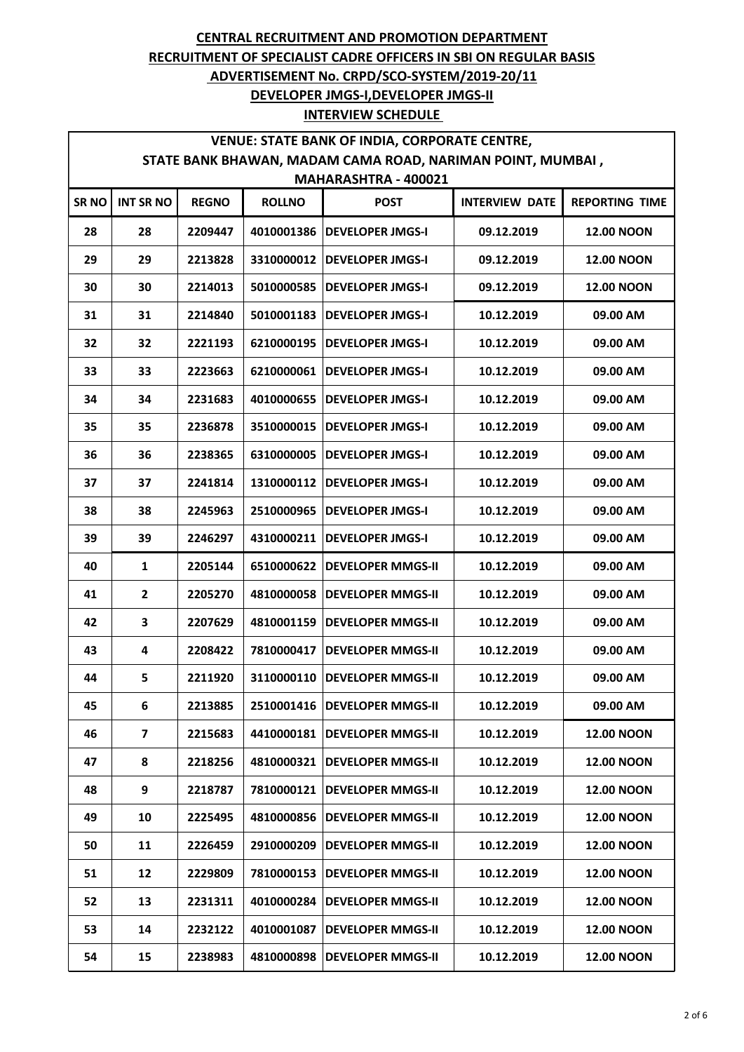| <b>VENUE: STATE BANK OF INDIA, CORPORATE CENTRE,</b><br>STATE BANK BHAWAN, MADAM CAMA ROAD, NARIMAN POINT, MUMBAI, |                  |              |               |                                     |                       |                       |  |
|--------------------------------------------------------------------------------------------------------------------|------------------|--------------|---------------|-------------------------------------|-----------------------|-----------------------|--|
| SR <sub>NO</sub>                                                                                                   | <b>INT SR NO</b> | <b>REGNO</b> | <b>ROLLNO</b> | MAHARASHTRA - 400021<br><b>POST</b> | <b>INTERVIEW DATE</b> | <b>REPORTING TIME</b> |  |
| 28                                                                                                                 | 28               | 2209447      | 4010001386    | <b>DEVELOPER JMGS-I</b>             | 09.12.2019            | <b>12.00 NOON</b>     |  |
| 29                                                                                                                 | 29               | 2213828      | 3310000012    | <b>DEVELOPER JMGS-I</b>             | 09.12.2019            | <b>12.00 NOON</b>     |  |
| 30                                                                                                                 | 30               | 2214013      | 5010000585    | <b>DEVELOPER JMGS-I</b>             | 09.12.2019            | <b>12.00 NOON</b>     |  |
| 31                                                                                                                 | 31               | 2214840      | 5010001183    | <b>DEVELOPER JMGS-I</b>             | 10.12.2019            | 09.00 AM              |  |
| 32                                                                                                                 | 32               | 2221193      | 6210000195    | <b>DEVELOPER JMGS-I</b>             | 10.12.2019            | 09.00 AM              |  |
| 33                                                                                                                 | 33               | 2223663      | 6210000061    | <b>DEVELOPER JMGS-I</b>             | 10.12.2019            | 09.00 AM              |  |
| 34                                                                                                                 | 34               | 2231683      | 4010000655    | <b>DEVELOPER JMGS-I</b>             | 10.12.2019            | 09.00 AM              |  |
| 35                                                                                                                 | 35               | 2236878      | 3510000015    | <b>DEVELOPER JMGS-I</b>             | 10.12.2019            | 09.00 AM              |  |
| 36                                                                                                                 | 36               | 2238365      | 6310000005    | <b>DEVELOPER JMGS-I</b>             | 10.12.2019            | 09.00 AM              |  |
| 37                                                                                                                 | 37               | 2241814      | 1310000112    | <b>DEVELOPER JMGS-I</b>             | 10.12.2019            | 09.00 AM              |  |
| 38                                                                                                                 | 38               | 2245963      | 2510000965    | <b>DEVELOPER JMGS-I</b>             | 10.12.2019            | 09.00 AM              |  |
| 39                                                                                                                 | 39               | 2246297      | 4310000211    | <b>DEVELOPER JMGS-I</b>             | 10.12.2019            | 09.00 AM              |  |
| 40                                                                                                                 | $\mathbf{1}$     | 2205144      | 6510000622    | <b>DEVELOPER MMGS-II</b>            | 10.12.2019            | 09.00 AM              |  |
| 41                                                                                                                 | $\overline{2}$   | 2205270      | 4810000058    | <b>DEVELOPER MMGS-II</b>            | 10.12.2019            | 09.00 AM              |  |
| 42                                                                                                                 | 3                | 2207629      | 4810001159    | <b>DEVELOPER MMGS-II</b>            | 10.12.2019            | 09.00 AM              |  |
| 43                                                                                                                 | 4                | 2208422      | 7810000417    | <b>DEVELOPER MMGS-II</b>            | 10.12.2019            | 09.00 AM              |  |
| 44                                                                                                                 | 5                | 2211920      | 3110000110    | <b>DEVELOPER MMGS-II</b>            | 10.12.2019            | 09.00 AM              |  |
| 45                                                                                                                 | 6                | 2213885      | 2510001416    | <b>DEVELOPER MMGS-II</b>            | 10.12.2019            | 09.00 AM              |  |
| 46                                                                                                                 | 7                | 2215683      | 4410000181    | <b>DEVELOPER MMGS-II</b>            | 10.12.2019            | <b>12.00 NOON</b>     |  |
| 47                                                                                                                 | 8                | 2218256      | 4810000321    | <b>DEVELOPER MMGS-II</b>            | 10.12.2019            | <b>12.00 NOON</b>     |  |
| 48                                                                                                                 | 9                | 2218787      | 7810000121    | <b>DEVELOPER MMGS-II</b>            | 10.12.2019            | <b>12.00 NOON</b>     |  |
| 49                                                                                                                 | 10               | 2225495      | 4810000856    | <b>DEVELOPER MMGS-II</b>            | 10.12.2019            | <b>12.00 NOON</b>     |  |
| 50                                                                                                                 | 11               | 2226459      | 2910000209    | <b>DEVELOPER MMGS-II</b>            | 10.12.2019            | <b>12.00 NOON</b>     |  |
| 51                                                                                                                 | 12               | 2229809      | 7810000153    | <b>DEVELOPER MMGS-II</b>            | 10.12.2019            | <b>12.00 NOON</b>     |  |
| 52                                                                                                                 | 13               | 2231311      | 4010000284    | <b>DEVELOPER MMGS-II</b>            | 10.12.2019            | <b>12.00 NOON</b>     |  |
| 53                                                                                                                 | 14               | 2232122      | 4010001087    | <b>DEVELOPER MMGS-II</b>            | 10.12.2019            | <b>12.00 NOON</b>     |  |
| 54                                                                                                                 | 15               | 2238983      | 4810000898    | <b>DEVELOPER MMGS-II</b>            | 10.12.2019            | <b>12.00 NOON</b>     |  |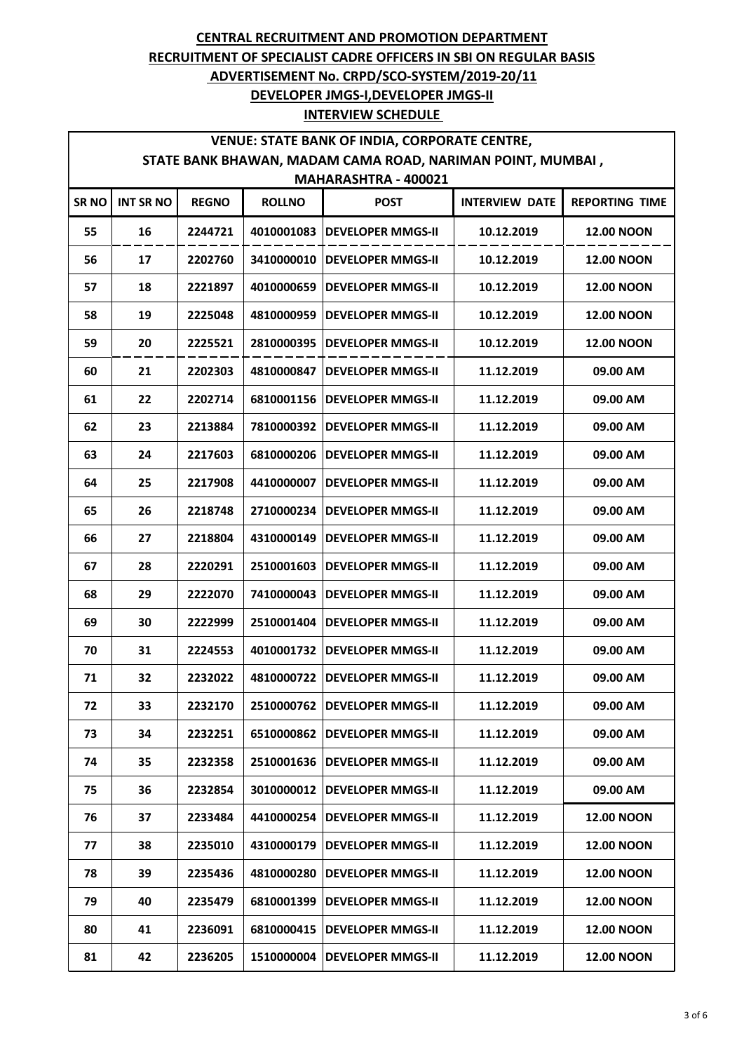| <b>VENUE: STATE BANK OF INDIA, CORPORATE CENTRE,</b><br>STATE BANK BHAWAN, MADAM CAMA ROAD, NARIMAN POINT, MUMBAI, |                  |              |               |                          |                       |                       |  |
|--------------------------------------------------------------------------------------------------------------------|------------------|--------------|---------------|--------------------------|-----------------------|-----------------------|--|
| MAHARASHTRA - 400021                                                                                               |                  |              |               |                          |                       |                       |  |
| <b>SRNO</b>                                                                                                        | <b>INT SR NO</b> | <b>REGNO</b> | <b>ROLLNO</b> | <b>POST</b>              | <b>INTERVIEW DATE</b> | <b>REPORTING TIME</b> |  |
| 55                                                                                                                 | 16               | 2244721      | 4010001083    | <b>DEVELOPER MMGS-II</b> | 10.12.2019            | <b>12.00 NOON</b>     |  |
| 56                                                                                                                 | 17               | 2202760      | 3410000010    | <b>DEVELOPER MMGS-II</b> | 10.12.2019            | <b>12.00 NOON</b>     |  |
| 57                                                                                                                 | 18               | 2221897      | 4010000659    | <b>DEVELOPER MMGS-II</b> | 10.12.2019            | <b>12.00 NOON</b>     |  |
| 58                                                                                                                 | 19               | 2225048      | 4810000959    | <b>DEVELOPER MMGS-II</b> | 10.12.2019            | <b>12.00 NOON</b>     |  |
| 59                                                                                                                 | 20               | 2225521      | 2810000395    | <b>DEVELOPER MMGS-II</b> | 10.12.2019            | <b>12.00 NOON</b>     |  |
| 60                                                                                                                 | 21               | 2202303      | 4810000847    | <b>DEVELOPER MMGS-II</b> | 11.12.2019            | 09.00 AM              |  |
| 61                                                                                                                 | 22               | 2202714      | 6810001156    | <b>DEVELOPER MMGS-II</b> | 11.12.2019            | 09.00 AM              |  |
| 62                                                                                                                 | 23               | 2213884      | 7810000392    | <b>DEVELOPER MMGS-II</b> | 11.12.2019            | 09.00 AM              |  |
| 63                                                                                                                 | 24               | 2217603      | 6810000206    | <b>DEVELOPER MMGS-II</b> | 11.12.2019            | 09.00 AM              |  |
| 64                                                                                                                 | 25               | 2217908      | 4410000007    | <b>DEVELOPER MMGS-II</b> | 11.12.2019            | 09.00 AM              |  |
| 65                                                                                                                 | 26               | 2218748      | 2710000234    | <b>DEVELOPER MMGS-II</b> | 11.12.2019            | 09.00 AM              |  |
| 66                                                                                                                 | 27               | 2218804      | 4310000149    | <b>DEVELOPER MMGS-II</b> | 11.12.2019            | 09.00 AM              |  |
| 67                                                                                                                 | 28               | 2220291      | 2510001603    | <b>DEVELOPER MMGS-II</b> | 11.12.2019            | 09.00 AM              |  |
| 68                                                                                                                 | 29               | 2222070      | 7410000043    | <b>DEVELOPER MMGS-II</b> | 11.12.2019            | 09.00 AM              |  |
| 69                                                                                                                 | 30               | 2222999      | 2510001404    | <b>DEVELOPER MMGS-II</b> | 11.12.2019            | 09.00 AM              |  |
| 70                                                                                                                 | 31               | 2224553      | 4010001732    | <b>DEVELOPER MMGS-II</b> | 11.12.2019            | 09.00 AM              |  |
| 71                                                                                                                 | 32               | 2232022      | 4810000722    | <b>DEVELOPER MMGS-II</b> | 11.12.2019            | 09.00 AM              |  |
| 72                                                                                                                 | 33               | 2232170      | 2510000762    | <b>DEVELOPER MMGS-II</b> | 11.12.2019            | 09.00 AM              |  |
| 73                                                                                                                 | 34               | 2232251      | 6510000862    | <b>DEVELOPER MMGS-II</b> | 11.12.2019            | 09.00 AM              |  |
| 74                                                                                                                 | 35               | 2232358      | 2510001636    | <b>DEVELOPER MMGS-II</b> | 11.12.2019            | 09.00 AM              |  |
| 75                                                                                                                 | 36               | 2232854      | 3010000012    | <b>DEVELOPER MMGS-II</b> | 11.12.2019            | 09.00 AM              |  |
| 76                                                                                                                 | 37               | 2233484      | 4410000254    | <b>DEVELOPER MMGS-II</b> | 11.12.2019            | <b>12.00 NOON</b>     |  |
| 77                                                                                                                 | 38               | 2235010      | 4310000179    | <b>DEVELOPER MMGS-II</b> | 11.12.2019            | <b>12.00 NOON</b>     |  |
| 78                                                                                                                 | 39               | 2235436      | 4810000280    | <b>DEVELOPER MMGS-II</b> | 11.12.2019            | <b>12.00 NOON</b>     |  |
| 79                                                                                                                 | 40               | 2235479      | 6810001399    | <b>DEVELOPER MMGS-II</b> | 11.12.2019            | <b>12.00 NOON</b>     |  |
| 80                                                                                                                 | 41               | 2236091      | 6810000415    | <b>DEVELOPER MMGS-II</b> | 11.12.2019            | <b>12.00 NOON</b>     |  |
| 81                                                                                                                 | 42               | 2236205      | 1510000004    | <b>DEVELOPER MMGS-II</b> | 11.12.2019            | <b>12.00 NOON</b>     |  |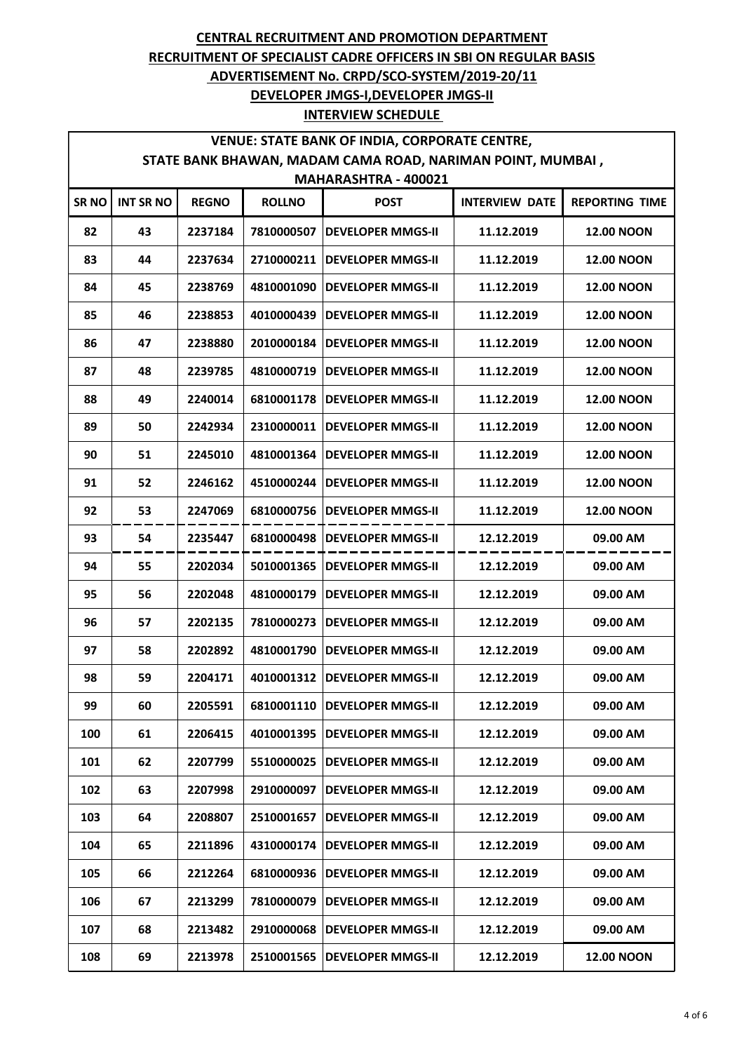| <b>VENUE: STATE BANK OF INDIA, CORPORATE CENTRE,</b><br>STATE BANK BHAWAN, MADAM CAMA ROAD, NARIMAN POINT, MUMBAI,<br>MAHARASHTRA - 400021 |                  |              |               |                          |                       |                       |  |
|--------------------------------------------------------------------------------------------------------------------------------------------|------------------|--------------|---------------|--------------------------|-----------------------|-----------------------|--|
| <b>SRNO</b>                                                                                                                                | <b>INT SR NO</b> | <b>REGNO</b> | <b>ROLLNO</b> | <b>POST</b>              | <b>INTERVIEW DATE</b> | <b>REPORTING TIME</b> |  |
| 82                                                                                                                                         | 43               | 2237184      | 7810000507    | <b>DEVELOPER MMGS-II</b> | 11.12.2019            | <b>12.00 NOON</b>     |  |
| 83                                                                                                                                         | 44               | 2237634      | 2710000211    | <b>DEVELOPER MMGS-II</b> | 11.12.2019            | <b>12.00 NOON</b>     |  |
| 84                                                                                                                                         | 45               | 2238769      | 4810001090    | <b>DEVELOPER MMGS-II</b> | 11.12.2019            | <b>12.00 NOON</b>     |  |
| 85                                                                                                                                         | 46               | 2238853      | 4010000439    | <b>DEVELOPER MMGS-II</b> | 11.12.2019            | <b>12.00 NOON</b>     |  |
| 86                                                                                                                                         | 47               | 2238880      | 2010000184    | <b>DEVELOPER MMGS-II</b> | 11.12.2019            | <b>12.00 NOON</b>     |  |
| 87                                                                                                                                         | 48               | 2239785      | 4810000719    | <b>DEVELOPER MMGS-II</b> | 11.12.2019            | <b>12.00 NOON</b>     |  |
| 88                                                                                                                                         | 49               | 2240014      | 6810001178    | <b>DEVELOPER MMGS-II</b> | 11.12.2019            | <b>12.00 NOON</b>     |  |
| 89                                                                                                                                         | 50               | 2242934      | 2310000011    | <b>DEVELOPER MMGS-II</b> | 11.12.2019            | <b>12.00 NOON</b>     |  |
| 90                                                                                                                                         | 51               | 2245010      | 4810001364    | <b>DEVELOPER MMGS-II</b> | 11.12.2019            | <b>12.00 NOON</b>     |  |
| 91                                                                                                                                         | 52               | 2246162      | 4510000244    | <b>DEVELOPER MMGS-II</b> | 11.12.2019            | <b>12.00 NOON</b>     |  |
| 92                                                                                                                                         | 53               | 2247069      | 6810000756    | <b>DEVELOPER MMGS-II</b> | 11.12.2019            | <b>12.00 NOON</b>     |  |
| 93                                                                                                                                         | 54               | 2235447      | 6810000498    | <b>DEVELOPER MMGS-II</b> | 12.12.2019            | 09.00 AM              |  |
| 94                                                                                                                                         | 55               | 2202034      | 5010001365    | <b>DEVELOPER MMGS-II</b> | 12.12.2019            | 09.00 AM              |  |
| 95                                                                                                                                         | 56               | 2202048      | 4810000179    | <b>DEVELOPER MMGS-II</b> | 12.12.2019            | 09.00 AM              |  |
| 96                                                                                                                                         | 57               | 2202135      | 7810000273    | <b>DEVELOPER MMGS-II</b> | 12.12.2019            | 09.00 AM              |  |
| 97                                                                                                                                         | 58               | 2202892      | 4810001790    | <b>DEVELOPER MMGS-II</b> | 12.12.2019            | 09.00 AM              |  |
| 98                                                                                                                                         | 59               | 2204171      | 4010001312    | <b>DEVELOPER MMGS-II</b> | 12.12.2019            | 09.00 AM              |  |
| 99                                                                                                                                         | 60               | 2205591      | 6810001110    | <b>DEVELOPER MMGS-II</b> | 12.12.2019            | 09.00 AM              |  |
| 100                                                                                                                                        | 61               | 2206415      | 4010001395    | <b>DEVELOPER MMGS-II</b> | 12.12.2019            | 09.00 AM              |  |
| 101                                                                                                                                        | 62               | 2207799      | 5510000025    | <b>DEVELOPER MMGS-II</b> | 12.12.2019            | 09.00 AM              |  |
| 102                                                                                                                                        | 63               | 2207998      | 2910000097    | <b>DEVELOPER MMGS-II</b> | 12.12.2019            | 09.00 AM              |  |
| 103                                                                                                                                        | 64               | 2208807      | 2510001657    | <b>DEVELOPER MMGS-II</b> | 12.12.2019            | 09.00 AM              |  |
| 104                                                                                                                                        | 65               | 2211896      | 4310000174    | <b>DEVELOPER MMGS-II</b> | 12.12.2019            | 09.00 AM              |  |
| 105                                                                                                                                        | 66               | 2212264      | 6810000936    | <b>DEVELOPER MMGS-II</b> | 12.12.2019            | 09.00 AM              |  |
| 106                                                                                                                                        | 67               | 2213299      | 7810000079    | <b>DEVELOPER MMGS-II</b> | 12.12.2019            | 09.00 AM              |  |
| 107                                                                                                                                        | 68               | 2213482      | 2910000068    | <b>DEVELOPER MMGS-II</b> | 12.12.2019            | 09.00 AM              |  |
| 108                                                                                                                                        | 69               | 2213978      | 2510001565    | <b>DEVELOPER MMGS-II</b> | 12.12.2019            | <b>12.00 NOON</b>     |  |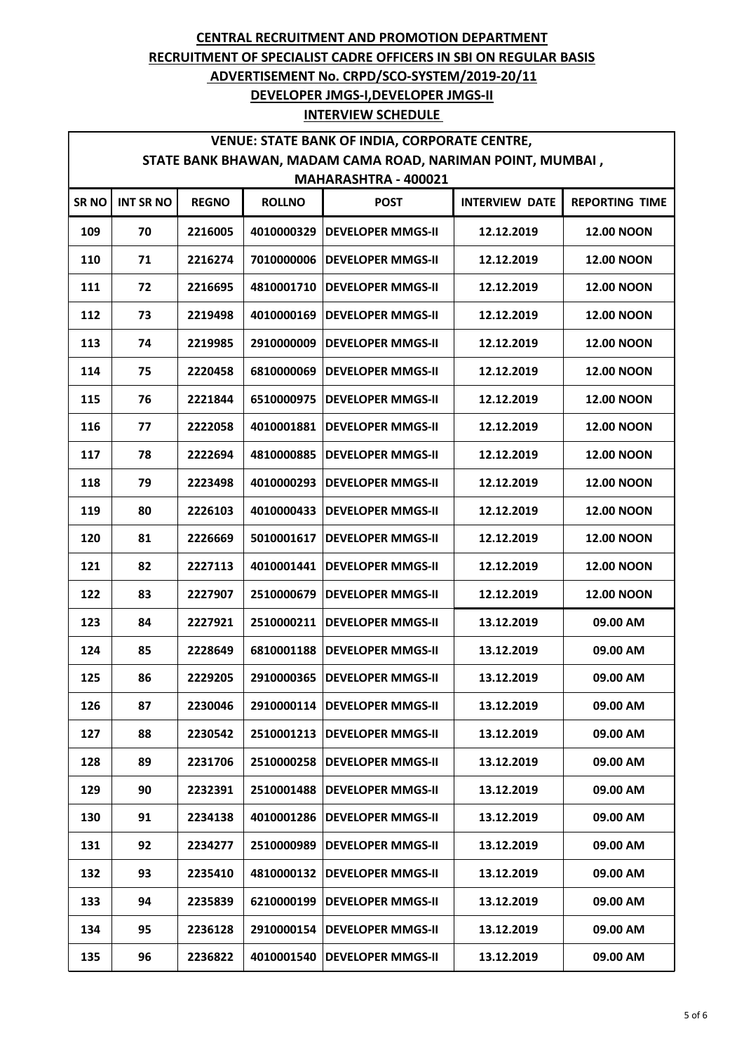| <b>VENUE: STATE BANK OF INDIA, CORPORATE CENTRE,</b><br>STATE BANK BHAWAN, MADAM CAMA ROAD, NARIMAN POINT, MUMBAI, |                  |              |               |                                     |                       |                       |  |
|--------------------------------------------------------------------------------------------------------------------|------------------|--------------|---------------|-------------------------------------|-----------------------|-----------------------|--|
| SR <sub>NO</sub>                                                                                                   | <b>INT SR NO</b> | <b>REGNO</b> | <b>ROLLNO</b> | MAHARASHTRA - 400021<br><b>POST</b> | <b>INTERVIEW DATE</b> | <b>REPORTING TIME</b> |  |
| 109                                                                                                                | 70               | 2216005      | 4010000329    | <b>DEVELOPER MMGS-II</b>            | 12.12.2019            | <b>12.00 NOON</b>     |  |
| 110                                                                                                                | 71               | 2216274      | 7010000006    | <b>DEVELOPER MMGS-II</b>            | 12.12.2019            | <b>12.00 NOON</b>     |  |
| 111                                                                                                                | 72               | 2216695      | 4810001710    | <b>DEVELOPER MMGS-II</b>            | 12.12.2019            | <b>12.00 NOON</b>     |  |
| 112                                                                                                                | 73               | 2219498      | 4010000169    | <b>DEVELOPER MMGS-II</b>            | 12.12.2019            | <b>12.00 NOON</b>     |  |
| 113                                                                                                                | 74               | 2219985      | 2910000009    | <b>DEVELOPER MMGS-II</b>            | 12.12.2019            | <b>12.00 NOON</b>     |  |
| 114                                                                                                                | 75               | 2220458      | 6810000069    | <b>DEVELOPER MMGS-II</b>            | 12.12.2019            | <b>12.00 NOON</b>     |  |
| 115                                                                                                                | 76               | 2221844      | 6510000975    | <b>DEVELOPER MMGS-II</b>            | 12.12.2019            | <b>12.00 NOON</b>     |  |
| 116                                                                                                                | 77               | 2222058      | 4010001881    | <b>DEVELOPER MMGS-II</b>            | 12.12.2019            | <b>12.00 NOON</b>     |  |
| 117                                                                                                                | 78               | 2222694      | 4810000885    | <b>DEVELOPER MMGS-II</b>            | 12.12.2019            | <b>12.00 NOON</b>     |  |
| 118                                                                                                                | 79               | 2223498      | 4010000293    | <b>DEVELOPER MMGS-II</b>            | 12.12.2019            | <b>12.00 NOON</b>     |  |
| 119                                                                                                                | 80               | 2226103      | 4010000433    | <b>DEVELOPER MMGS-II</b>            | 12.12.2019            | <b>12.00 NOON</b>     |  |
| 120                                                                                                                | 81               | 2226669      | 5010001617    | <b>DEVELOPER MMGS-II</b>            | 12.12.2019            | <b>12.00 NOON</b>     |  |
| 121                                                                                                                | 82               | 2227113      | 4010001441    | <b>DEVELOPER MMGS-II</b>            | 12.12.2019            | <b>12.00 NOON</b>     |  |
| 122                                                                                                                | 83               | 2227907      | 2510000679    | <b>DEVELOPER MMGS-II</b>            | 12.12.2019            | <b>12.00 NOON</b>     |  |
| 123                                                                                                                | 84               | 2227921      | 2510000211    | <b>DEVELOPER MMGS-II</b>            | 13.12.2019            | 09.00 AM              |  |
| 124                                                                                                                | 85               | 2228649      | 6810001188    | <b>DEVELOPER MMGS-II</b>            | 13.12.2019            | 09.00 AM              |  |
| 125                                                                                                                | 86               | 2229205      | 2910000365    | <b>DEVELOPER MMGS-II</b>            | 13.12.2019            | 09.00 AM              |  |
| 126                                                                                                                | 87               | 2230046      |               | 2910000114 DEVELOPER MMGS-II        | 13.12.2019            | 09.00 AM              |  |
| 127                                                                                                                | 88               | 2230542      | 2510001213    | <b>DEVELOPER MMGS-II</b>            | 13.12.2019            | 09.00 AM              |  |
| 128                                                                                                                | 89               | 2231706      | 2510000258    | <b>DEVELOPER MMGS-II</b>            | 13.12.2019            | 09.00 AM              |  |
| 129                                                                                                                | 90               | 2232391      | 2510001488    | <b>DEVELOPER MMGS-II</b>            | 13.12.2019            | 09.00 AM              |  |
| 130                                                                                                                | 91               | 2234138      | 4010001286    | <b>DEVELOPER MMGS-II</b>            | 13.12.2019            | 09.00 AM              |  |
| 131                                                                                                                | 92               | 2234277      | 2510000989    | <b>DEVELOPER MMGS-II</b>            | 13.12.2019            | 09.00 AM              |  |
| 132                                                                                                                | 93               | 2235410      | 4810000132    | <b>DEVELOPER MMGS-II</b>            | 13.12.2019            | 09.00 AM              |  |
| 133                                                                                                                | 94               | 2235839      | 6210000199    | <b>DEVELOPER MMGS-II</b>            | 13.12.2019            | 09.00 AM              |  |
| 134                                                                                                                | 95               | 2236128      | 2910000154    | <b>DEVELOPER MMGS-II</b>            | 13.12.2019            | 09.00 AM              |  |
| 135                                                                                                                | 96               | 2236822      | 4010001540    | <b>DEVELOPER MMGS-II</b>            | 13.12.2019            | 09.00 AM              |  |